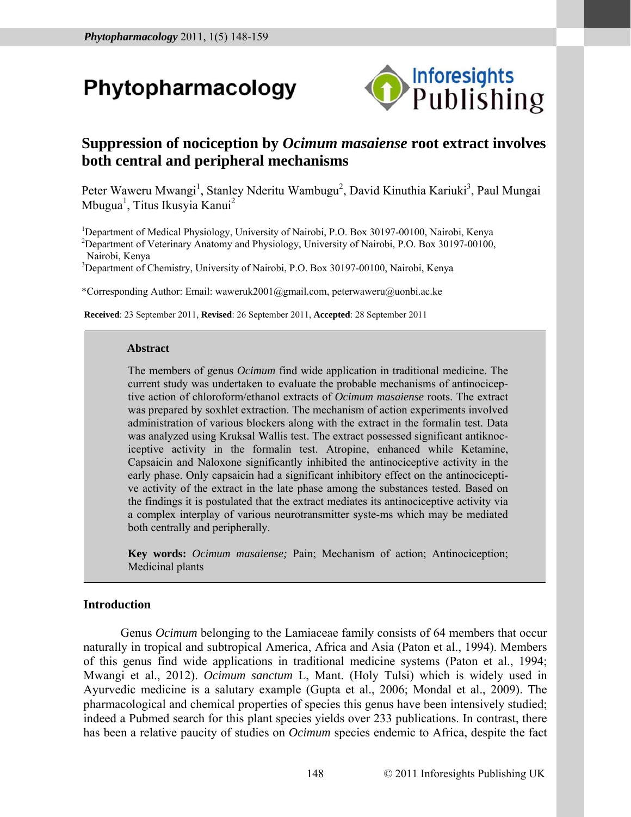# Phytopharmacology



# **Suppression of nociception by** *Ocimum masaiense* **root extract involves both central and peripheral mechanisms**

Peter Waweru Mwangi<sup>1</sup>, Stanley Nderitu Wambugu<sup>2</sup>, David Kinuthia Kariuki<sup>3</sup>, Paul Mungai Mbugua<sup>1</sup>, Titus Ikusyia Kanui<sup>2</sup>

<sup>1</sup>Department of Medical Physiology, University of Nairobi, P.O. Box 30197-00100, Nairobi, Kenya <sup>2</sup>Department of Veterinary Anatomy and Physiology, University of Nairobi, P.O. Box 30197-00100, Nairobi, Kenya

<sup>3</sup>Department of Chemistry, University of Nairobi, P.O. Box 30197-00100, Nairobi, Kenya

\*Corresponding Author: Email: waweruk2001@gmail.com, peterwaweru@uonbi.ac.ke

 **Received**: 23 September 2011, **Revised**: 26 September 2011, **Accepted**: 28 September 2011

#### **Abstract**

The members of genus *Ocimum* find wide application in traditional medicine. The current study was undertaken to evaluate the probable mechanisms of antinociceptive action of chloroform/ethanol extracts of *Ocimum masaiense* roots. The extract was prepared by soxhlet extraction. The mechanism of action experiments involved administration of various blockers along with the extract in the formalin test. Data was analyzed using Kruksal Wallis test. The extract possessed significant antiknociceptive activity in the formalin test. Atropine, enhanced while Ketamine, Capsaicin and Naloxone significantly inhibited the antinociceptive activity in the early phase. Only capsaicin had a significant inhibitory effect on the antinociceptive activity of the extract in the late phase among the substances tested. Based on the findings it is postulated that the extract mediates its antinociceptive activity via a complex interplay of various neurotransmitter syste-ms which may be mediated both centrally and peripherally.

**Key words:** *Ocimum masaiense;* Pain; Mechanism of action; Antinociception; Medicinal plants

# **Introduction**

Genus *Ocimum* belonging to the Lamiaceae family consists of 64 members that occur naturally in tropical and subtropical America, Africa and Asia (Paton et al., 1994). Members of this genus find wide applications in traditional medicine systems (Paton et al., 1994; Mwangi et al., 2012). *Ocimum sanctum* L, Mant. (Holy Tulsi) which is widely used in Ayurvedic medicine is a salutary example (Gupta et al., 2006; Mondal et al., 2009). The pharmacological and chemical properties of species this genus have been intensively studied; indeed a Pubmed search for this plant species yields over 233 publications. In contrast, there has been a relative paucity of studies on *Ocimum* species endemic to Africa, despite the fact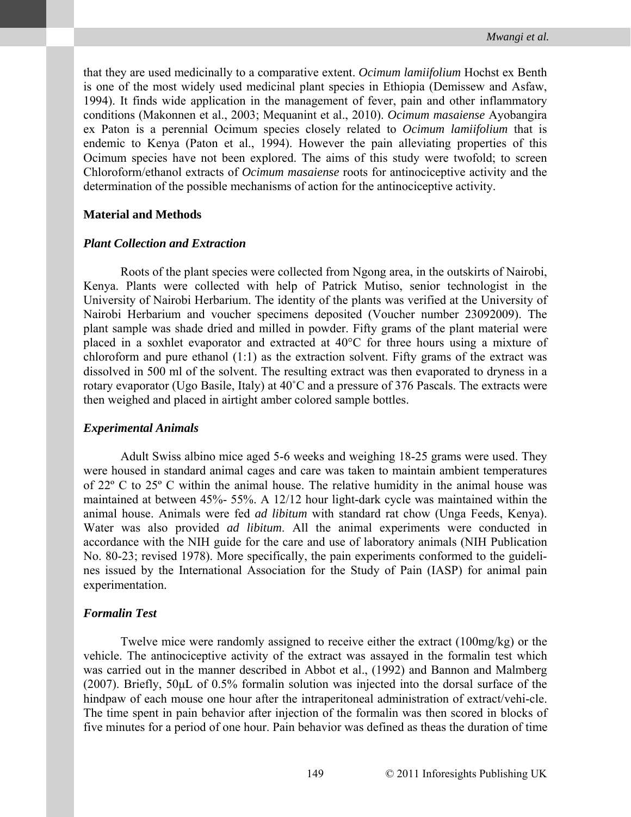that they are used medicinally to a comparative extent. *Ocimum lamiifolium* Hochst ex Benth is one of the most widely used medicinal plant species in Ethiopia (Demissew and Asfaw, 1994). It finds wide application in the management of fever, pain and other inflammatory conditions (Makonnen et al., 2003; Mequanint et al., 2010). *Ocimum masaiense* Ayobangira ex Paton is a perennial Ocimum species closely related to *Ocimum lamiifolium* that is endemic to Kenya (Paton et al., 1994). However the pain alleviating properties of this Ocimum species have not been explored. The aims of this study were twofold; to screen Chloroform/ethanol extracts of *Ocimum masaiense* roots for antinociceptive activity and the determination of the possible mechanisms of action for the antinociceptive activity.

#### **Material and Methods**

#### *Plant Collection and Extraction*

Roots of the plant species were collected from Ngong area, in the outskirts of Nairobi, Kenya. Plants were collected with help of Patrick Mutiso, senior technologist in the University of Nairobi Herbarium. The identity of the plants was verified at the University of Nairobi Herbarium and voucher specimens deposited (Voucher number 23092009). The plant sample was shade dried and milled in powder. Fifty grams of the plant material were placed in a soxhlet evaporator and extracted at 40°C for three hours using a mixture of chloroform and pure ethanol (1:1) as the extraction solvent. Fifty grams of the extract was dissolved in 500 ml of the solvent. The resulting extract was then evaporated to dryness in a rotary evaporator (Ugo Basile, Italy) at 40˚C and a pressure of 376 Pascals. The extracts were then weighed and placed in airtight amber colored sample bottles.

#### *Experimental Animals*

Adult Swiss albino mice aged 5-6 weeks and weighing 18-25 grams were used. They were housed in standard animal cages and care was taken to maintain ambient temperatures of 22º C to 25º C within the animal house. The relative humidity in the animal house was maintained at between 45%- 55%. A 12/12 hour light-dark cycle was maintained within the animal house. Animals were fed *ad libitum* with standard rat chow (Unga Feeds, Kenya). Water was also provided *ad libitum*. All the animal experiments were conducted in accordance with the NIH guide for the care and use of laboratory animals (NIH Publication No. 80-23; revised 1978). More specifically, the pain experiments conformed to the guidelines issued by the International Association for the Study of Pain (IASP) for animal pain experimentation.

#### *Formalin Test*

Twelve mice were randomly assigned to receive either the extract (100mg/kg) or the vehicle. The antinociceptive activity of the extract was assayed in the formalin test which was carried out in the manner described in Abbot et al., (1992) and Bannon and Malmberg (2007). Briefly, 50μL of 0.5% formalin solution was injected into the dorsal surface of the hindpaw of each mouse one hour after the intraperitoneal administration of extract/vehi-cle. The time spent in pain behavior after injection of the formalin was then scored in blocks of five minutes for a period of one hour. Pain behavior was defined as theas the duration of time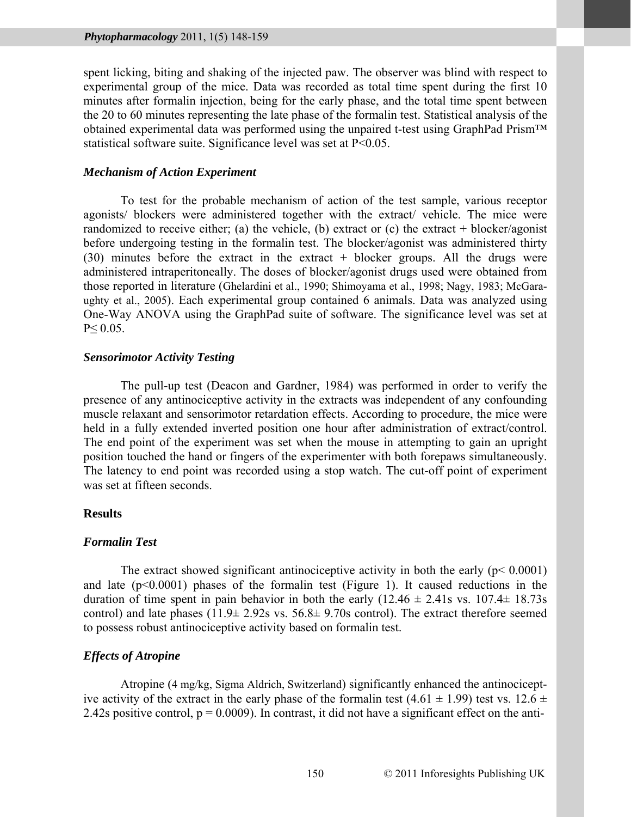spent licking, biting and shaking of the injected paw. The observer was blind with respect to experimental group of the mice. Data was recorded as total time spent during the first 10 minutes after formalin injection, being for the early phase, and the total time spent between the 20 to 60 minutes representing the late phase of the formalin test. Statistical analysis of the obtained experimental data was performed using the unpaired t-test using GraphPad Prism™ statistical software suite. Significance level was set at P<0.05.

#### *Mechanism of Action Experiment*

To test for the probable mechanism of action of the test sample, various receptor agonists/ blockers were administered together with the extract/ vehicle. The mice were randomized to receive either; (a) the vehicle, (b) extract or (c) the extract  $+$  blocker/agonist before undergoing testing in the formalin test. The blocker/agonist was administered thirty  $(30)$  minutes before the extract in the extract + blocker groups. All the drugs were administered intraperitoneally. The doses of blocker/agonist drugs used were obtained from those reported in literature (Ghelardini et al., 1990; Shimoyama et al., 1998; Nagy, 1983; McGaraughty et al., 2005). Each experimental group contained 6 animals. Data was analyzed using One-Way ANOVA using the GraphPad suite of software. The significance level was set at  $P \leq 0.05$ .

## *Sensorimotor Activity Testing*

The pull-up test (Deacon and Gardner, 1984) was performed in order to verify the presence of any antinociceptive activity in the extracts was independent of any confounding muscle relaxant and sensorimotor retardation effects. According to procedure, the mice were held in a fully extended inverted position one hour after administration of extract/control. The end point of the experiment was set when the mouse in attempting to gain an upright position touched the hand or fingers of the experimenter with both forepaws simultaneously. The latency to end point was recorded using a stop watch. The cut-off point of experiment was set at fifteen seconds.

#### **Results**

#### *Formalin Test*

The extract showed significant antinociceptive activity in both the early  $(p< 0.0001)$ and late  $(p<0.0001)$  phases of the formalin test (Figure 1). It caused reductions in the duration of time spent in pain behavior in both the early  $(12.46 \pm 2.41s \text{ vs. } 107.4 \pm 18.73s$ control) and late phases  $(11.9 \pm 2.92 \text{ s} \text{ vs. } 56.8 \pm 9.70 \text{ s} \text{ control})$ . The extract therefore seemed to possess robust antinociceptive activity based on formalin test.

# *Effects of Atropine*

Atropine (4 mg/kg, Sigma Aldrich, Switzerland) significantly enhanced the antinociceptive activity of the extract in the early phase of the formalin test  $(4.61 \pm 1.99)$  test vs.  $12.6 \pm 1.09$ 2.42s positive control,  $p = 0.0009$ ). In contrast, it did not have a significant effect on the anti-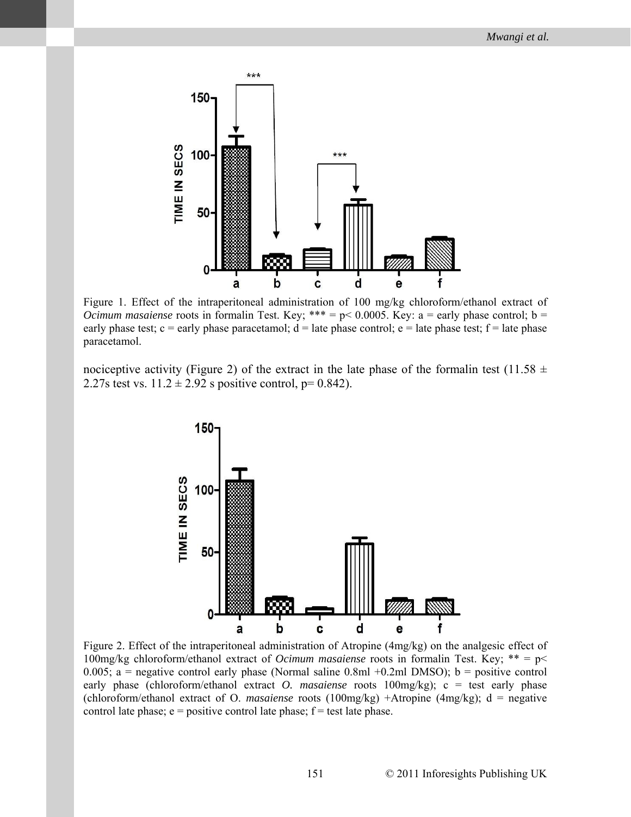

Figure 1. Effect of the intraperitoneal administration of 100 mg/kg chloroform/ethanol extract of *Ocimum masaiense* roots in formalin Test. Key; \*\*\* =  $p$  < 0.0005. Key: a = early phase control; b = early phase test; c = early phase paracetamol;  $d =$  late phase control; e = late phase test;  $f =$  late phase paracetamol.

nociceptive activity (Figure 2) of the extract in the late phase of the formalin test (11.58  $\pm$ 2.27s test vs.  $11.2 \pm 2.92$  s positive control, p= 0.842).



Figure 2. Effect of the intraperitoneal administration of Atropine (4mg/kg) on the analgesic effect of 100mg/kg chloroform/ethanol extract of *Ocimum masaiense* roots in formalin Test. Key; \*\* = p< 0.005; a = negative control early phase (Normal saline  $0.8 \text{ml} + 0.2 \text{ml}$  DMSO); b = positive control early phase (chloroform/ethanol extract *O. masaiense* roots 100mg/kg); c = test early phase (chloroform/ethanol extract of O. *masaiense* roots (100mg/kg) +Atropine (4mg/kg); d = negative control late phase;  $e =$  positive control late phase;  $f =$  test late phase.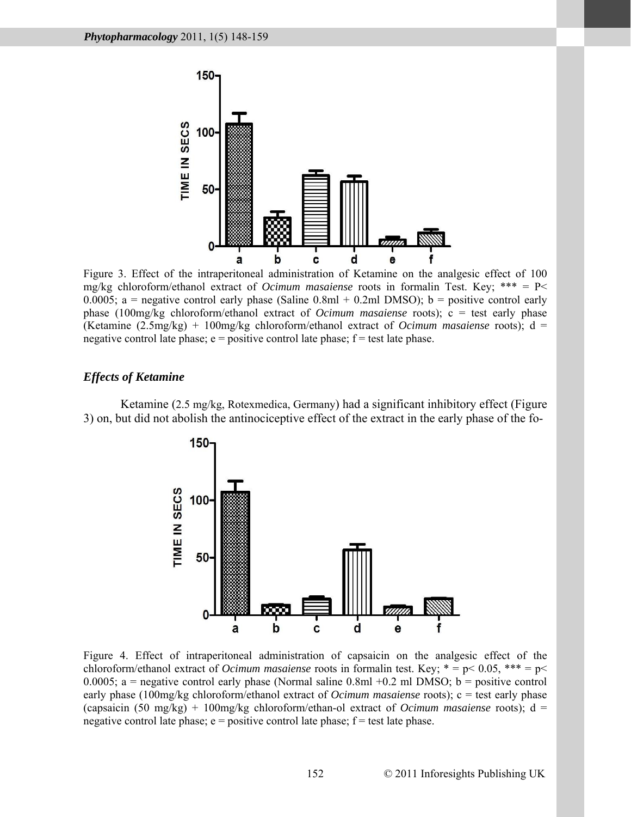

Figure 3. Effect of the intraperitoneal administration of Ketamine on the analgesic effect of 100 mg/kg chloroform/ethanol extract of *Ocimum masaiense* roots in formalin Test. Key; \*\*\* = P< 0.0005; a = negative control early phase (Saline  $0.8 \text{ml} + 0.2 \text{ml}$  DMSO); b = positive control early phase (100mg/kg chloroform/ethanol extract of *Ocimum masaiense* roots); c = test early phase (Ketamine (2.5mg/kg) + 100mg/kg chloroform/ethanol extract of *Ocimum masaiense* roots); d = negative control late phase;  $e =$  positive control late phase;  $f =$  test late phase.

# *Effects of Ketamine*

Ketamine (2.5 mg/kg, Rotexmedica, Germany) had a significant inhibitory effect (Figure 3) on, but did not abolish the antinociceptive effect of the extract in the early phase of the fo-



Figure 4. Effect of intraperitoneal administration of capsaicin on the analgesic effect of the chloroform/ethanol extract of *Ocimum masaiense* roots in formalin test. Key; \* = p< 0.05, \*\*\* = p< 0.0005; a = negative control early phase (Normal saline  $0.8 \text{ml} + 0.2 \text{ ml}$  DMSO; b = positive control early phase (100mg/kg chloroform/ethanol extract of *Ocimum masaiense* roots); c = test early phase (capsaicin (50 mg/kg) + 100mg/kg chloroform/ethan-ol extract of *Ocimum masaiense* roots); d = negative control late phase;  $e =$  positive control late phase;  $f =$  test late phase.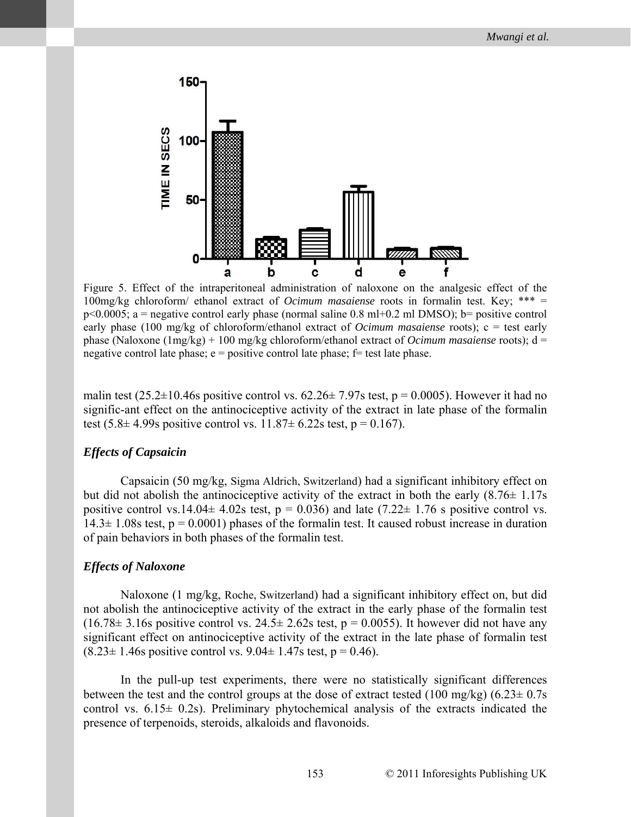

Figure 5. Effect of the intraperitoneal administration of naloxone on the analgesic effect of the 100mg/kg chloroform/ ethanol extract of *Ocimum masaiense* roots in formalin test. Key; \*\*\* =  $p\leq 0.0005$ ; a = negative control early phase (normal saline 0.8 ml+0.2 ml DMSO); b= positive control early phase (100 mg/kg of chloroform/ethanol extract of *Ocimum masaiense* roots); c = test early phase (Naloxone (1mg/kg) + 100 mg/kg chloroform/ethanol extract of *Ocimum masaiense* roots); d = negative control late phase;  $e =$  positive control late phase;  $f =$  test late phase.

malin test (25.2 $\pm$ 10.46s positive control vs. 62.26 $\pm$  7.97s test, p = 0.0005). However it had no signific-ant effect on the antinociceptive activity of the extract in late phase of the formalin test  $(5.8 \pm 4.99 s \text{ positive control vs. } 11.87 \pm 6.22 s \text{ test}, p = 0.167)$ .

#### *Effects of Capsaicin*

Capsaicin (50 mg/kg, Sigma Aldrich, Switzerland) had a significant inhibitory effect on but did not abolish the antinociceptive activity of the extract in both the early  $(8.76 \pm 1.17s)$ positive control vs.14.04 $\pm$  4.02s test, p = 0.036) and late (7.22 $\pm$  1.76 s positive control vs.  $14.3\pm 1.08$  s test,  $p = 0.0001$ ) phases of the formalin test. It caused robust increase in duration of pain behaviors in both phases of the formalin test.

#### *Effects of Naloxone*

Naloxone (1 mg/kg, Roche, Switzerland) had a significant inhibitory effect on, but did not abolish the antinociceptive activity of the extract in the early phase of the formalin test  $(16.78\pm 3.16s$  positive control vs.  $24.5\pm 2.62s$  test, p = 0.0055). It however did not have any significant effect on antinociceptive activity of the extract in the late phase of formalin test  $(8.23 \pm 1.46s$  positive control vs.  $9.04 \pm 1.47s$  test,  $p = 0.46$ ).

In the pull-up test experiments, there were no statistically significant differences between the test and the control groups at the dose of extract tested (100 mg/kg) (6.23 $\pm$  0.7s control vs.  $6.15\pm 0.2$ s). Preliminary phytochemical analysis of the extracts indicated the presence of terpenoids, steroids, alkaloids and flavonoids.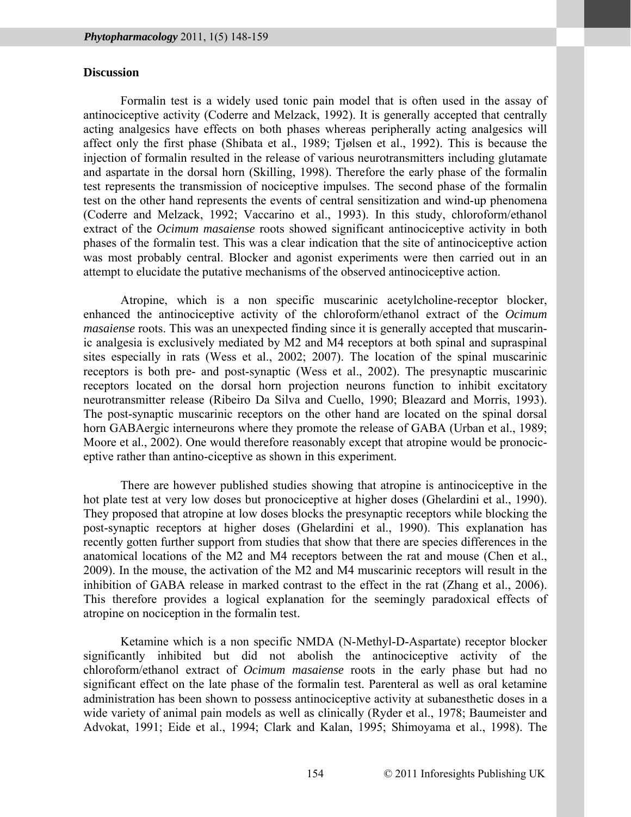# **Discussion**

Formalin test is a widely used tonic pain model that is often used in the assay of antinociceptive activity (Coderre and Melzack, 1992). It is generally accepted that centrally acting analgesics have effects on both phases whereas peripherally acting analgesics will affect only the first phase (Shibata et al., 1989; Tjølsen et al., 1992). This is because the injection of formalin resulted in the release of various neurotransmitters including glutamate and aspartate in the dorsal horn (Skilling, 1998). Therefore the early phase of the formalin test represents the transmission of nociceptive impulses. The second phase of the formalin test on the other hand represents the events of central sensitization and wind-up phenomena (Coderre and Melzack, 1992; Vaccarino et al., 1993). In this study, chloroform/ethanol extract of the *Ocimum masaiense* roots showed significant antinociceptive activity in both phases of the formalin test. This was a clear indication that the site of antinociceptive action was most probably central. Blocker and agonist experiments were then carried out in an attempt to elucidate the putative mechanisms of the observed antinociceptive action.

Atropine, which is a non specific muscarinic acetylcholine-receptor blocker, enhanced the antinociceptive activity of the chloroform/ethanol extract of the *Ocimum masaiense* roots. This was an unexpected finding since it is generally accepted that muscarinic analgesia is exclusively mediated by M2 and M4 receptors at both spinal and supraspinal sites especially in rats (Wess et al., 2002; 2007). The location of the spinal muscarinic receptors is both pre- and post-synaptic (Wess et al., 2002). The presynaptic muscarinic receptors located on the dorsal horn projection neurons function to inhibit excitatory neurotransmitter release (Ribeiro Da Silva and Cuello, 1990; Bleazard and Morris, 1993). The post-synaptic muscarinic receptors on the other hand are located on the spinal dorsal horn GABAergic interneurons where they promote the release of GABA (Urban et al., 1989; Moore et al., 2002). One would therefore reasonably except that atropine would be pronociceptive rather than antino-ciceptive as shown in this experiment.

There are however published studies showing that atropine is antinociceptive in the hot plate test at very low doses but pronociceptive at higher doses (Ghelardini et al., 1990). They proposed that atropine at low doses blocks the presynaptic receptors while blocking the post-synaptic receptors at higher doses (Ghelardini et al., 1990). This explanation has recently gotten further support from studies that show that there are species differences in the anatomical locations of the M2 and M4 receptors between the rat and mouse (Chen et al., 2009). In the mouse, the activation of the M2 and M4 muscarinic receptors will result in the inhibition of GABA release in marked contrast to the effect in the rat (Zhang et al., 2006). This therefore provides a logical explanation for the seemingly paradoxical effects of atropine on nociception in the formalin test.

Ketamine which is a non specific NMDA (N-Methyl-D-Aspartate) receptor blocker significantly inhibited but did not abolish the antinociceptive activity of the chloroform/ethanol extract of *Ocimum masaiense* roots in the early phase but had no significant effect on the late phase of the formalin test. Parenteral as well as oral ketamine administration has been shown to possess antinociceptive activity at subanesthetic doses in a wide variety of animal pain models as well as clinically (Ryder et al., 1978; Baumeister and Advokat, 1991; Eide et al., 1994; Clark and Kalan, 1995; Shimoyama et al., 1998). The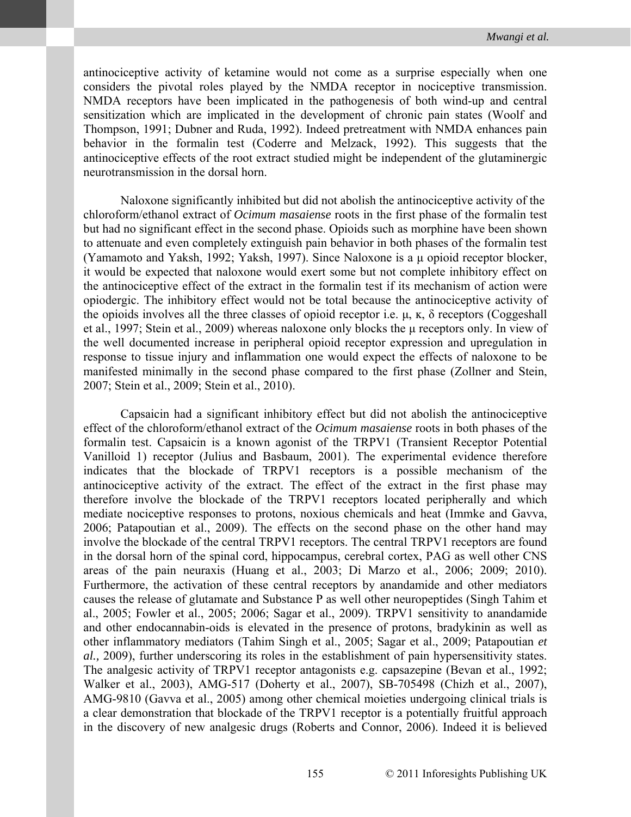antinociceptive activity of ketamine would not come as a surprise especially when one considers the pivotal roles played by the NMDA receptor in nociceptive transmission. NMDA receptors have been implicated in the pathogenesis of both wind-up and central sensitization which are implicated in the development of chronic pain states (Woolf and Thompson, 1991; Dubner and Ruda, 1992). Indeed pretreatment with NMDA enhances pain behavior in the formalin test (Coderre and Melzack, 1992). This suggests that the antinociceptive effects of the root extract studied might be independent of the glutaminergic neurotransmission in the dorsal horn.

Naloxone significantly inhibited but did not abolish the antinociceptive activity of the chloroform/ethanol extract of *Ocimum masaiense* roots in the first phase of the formalin test but had no significant effect in the second phase. Opioids such as morphine have been shown to attenuate and even completely extinguish pain behavior in both phases of the formalin test (Yamamoto and Yaksh, 1992; Yaksh, 1997). Since Naloxone is a μ opioid receptor blocker, it would be expected that naloxone would exert some but not complete inhibitory effect on the antinociceptive effect of the extract in the formalin test if its mechanism of action were opiodergic. The inhibitory effect would not be total because the antinociceptive activity of the opioids involves all the three classes of opioid receptor i.e.  $\mu$ ,  $\kappa$ ,  $\delta$  receptors (Coggeshall et al., 1997; Stein et al., 2009) whereas naloxone only blocks the μ receptors only. In view of the well documented increase in peripheral opioid receptor expression and upregulation in response to tissue injury and inflammation one would expect the effects of naloxone to be manifested minimally in the second phase compared to the first phase (Zollner and Stein, 2007; Stein et al., 2009; Stein et al., 2010).

Capsaicin had a significant inhibitory effect but did not abolish the antinociceptive effect of the chloroform/ethanol extract of the *Ocimum masaiense* roots in both phases of the formalin test. Capsaicin is a known agonist of the TRPV1 (Transient Receptor Potential Vanilloid 1) receptor (Julius and Basbaum, 2001). The experimental evidence therefore indicates that the blockade of TRPV1 receptors is a possible mechanism of the antinociceptive activity of the extract. The effect of the extract in the first phase may therefore involve the blockade of the TRPV1 receptors located peripherally and which mediate nociceptive responses to protons, noxious chemicals and heat (Immke and Gavva, 2006; Patapoutian et al., 2009). The effects on the second phase on the other hand may involve the blockade of the central TRPV1 receptors. The central TRPV1 receptors are found in the dorsal horn of the spinal cord, hippocampus, cerebral cortex, PAG as well other CNS areas of the pain neuraxis (Huang et al., 2003; Di Marzo et al., 2006; 2009; 2010). Furthermore, the activation of these central receptors by anandamide and other mediators causes the release of glutamate and Substance P as well other neuropeptides (Singh Tahim et al., 2005; Fowler et al., 2005; 2006; Sagar et al., 2009). TRPV1 sensitivity to anandamide and other endocannabin-oids is elevated in the presence of protons, bradykinin as well as other inflammatory mediators (Tahim Singh et al., 2005; Sagar et al., 2009; Patapoutian *et al.,* 2009), further underscoring its roles in the establishment of pain hypersensitivity states. The analgesic activity of TRPV1 receptor antagonists e.g. capsazepine (Bevan et al., 1992; Walker et al., 2003), AMG-517 (Doherty et al., 2007), SB-705498 (Chizh et al., 2007), AMG-9810 (Gavva et al., 2005) among other chemical moieties undergoing clinical trials is a clear demonstration that blockade of the TRPV1 receptor is a potentially fruitful approach in the discovery of new analgesic drugs (Roberts and Connor, 2006). Indeed it is believed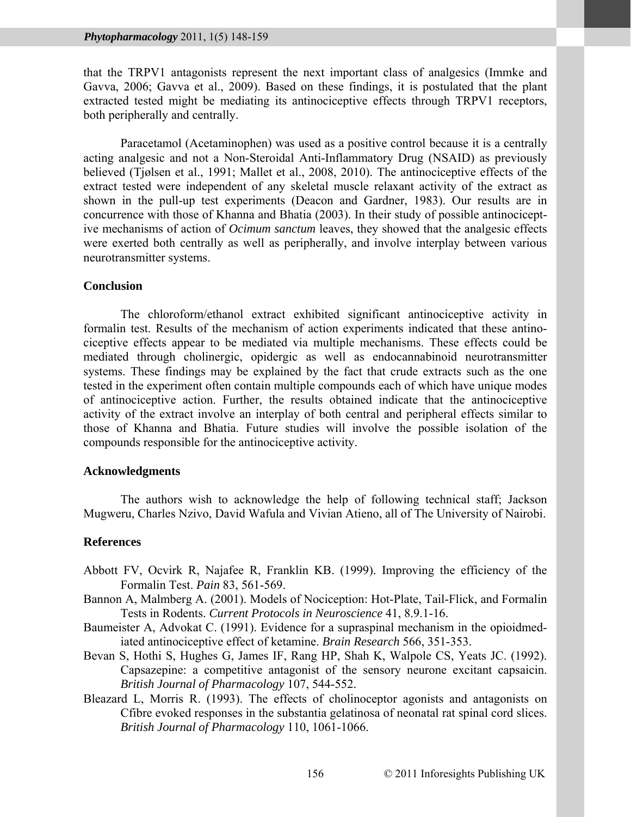that the TRPV1 antagonists represent the next important class of analgesics (Immke and Gavva, 2006; Gavva et al., 2009). Based on these findings, it is postulated that the plant extracted tested might be mediating its antinociceptive effects through TRPV1 receptors, both peripherally and centrally.

Paracetamol (Acetaminophen) was used as a positive control because it is a centrally acting analgesic and not a Non-Steroidal Anti-Inflammatory Drug (NSAID) as previously believed (Tjølsen et al., 1991; Mallet et al., 2008, 2010). The antinociceptive effects of the extract tested were independent of any skeletal muscle relaxant activity of the extract as shown in the pull-up test experiments (Deacon and Gardner, 1983). Our results are in concurrence with those of Khanna and Bhatia (2003). In their study of possible antinociceptive mechanisms of action of *Ocimum sanctum* leaves, they showed that the analgesic effects were exerted both centrally as well as peripherally, and involve interplay between various neurotransmitter systems.

# **Conclusion**

The chloroform/ethanol extract exhibited significant antinociceptive activity in formalin test. Results of the mechanism of action experiments indicated that these antinociceptive effects appear to be mediated via multiple mechanisms. These effects could be mediated through cholinergic, opidergic as well as endocannabinoid neurotransmitter systems. These findings may be explained by the fact that crude extracts such as the one tested in the experiment often contain multiple compounds each of which have unique modes of antinociceptive action. Further, the results obtained indicate that the antinociceptive activity of the extract involve an interplay of both central and peripheral effects similar to those of Khanna and Bhatia. Future studies will involve the possible isolation of the compounds responsible for the antinociceptive activity.

#### **Acknowledgments**

The authors wish to acknowledge the help of following technical staff; Jackson Mugweru, Charles Nzivo, David Wafula and Vivian Atieno, all of The University of Nairobi.

# **References**

- Abbott FV, Ocvirk R, Najafee R, Franklin KB. (1999). Improving the efficiency of the Formalin Test. *Pain* 83, 561-569.
- Bannon A, Malmberg A. (2001). Models of Nociception: Hot-Plate, Tail-Flick, and Formalin Tests in Rodents. *Current Protocols in Neuroscience* 41, 8.9.1-16.
- Baumeister A, Advokat C. (1991). Evidence for a supraspinal mechanism in the opioidmediated antinociceptive effect of ketamine. *Brain Research* 566, 351-353.
- Bevan S, Hothi S, Hughes G, James IF, Rang HP, Shah K, Walpole CS, Yeats JC. (1992). Capsazepine: a competitive antagonist of the sensory neurone excitant capsaicin. *British Journal of Pharmacology* 107, 544-552.
- Bleazard L, Morris R. (1993). The effects of cholinoceptor agonists and antagonists on Cfibre evoked responses in the substantia gelatinosa of neonatal rat spinal cord slices. *British Journal of Pharmacology* 110, 1061-1066.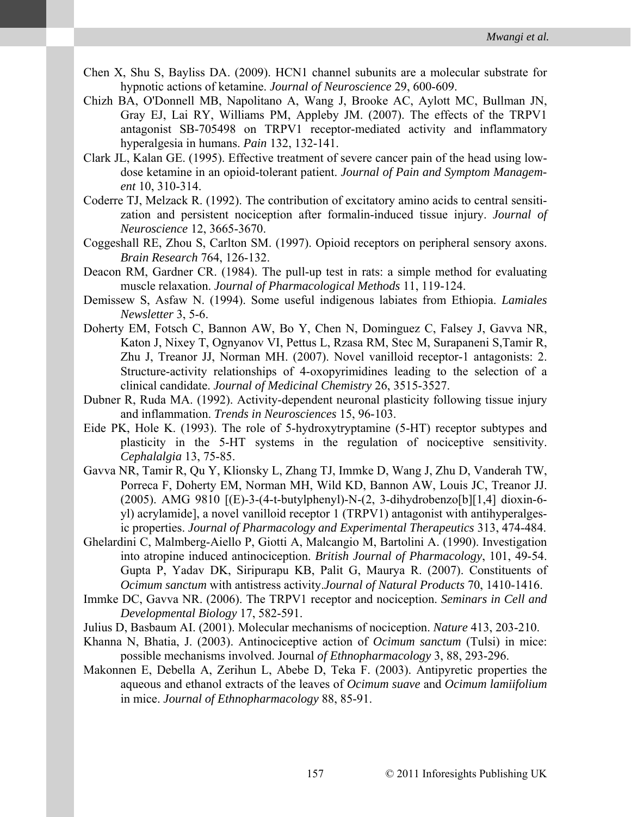- Chen X, Shu S, Bayliss DA. (2009). HCN1 channel subunits are a molecular substrate for hypnotic actions of ketamine. *Journal of Neuroscience* 29, 600-609.
- Chizh BA, O'Donnell MB, Napolitano A, Wang J, Brooke AC, Aylott MC, Bullman JN, Gray EJ, Lai RY, Williams PM, Appleby JM. (2007). The effects of the TRPV1 antagonist SB-705498 on TRPV1 receptor-mediated activity and inflammatory hyperalgesia in humans. *Pain* 132, 132-141.
- Clark JL, Kalan GE. (1995). Effective treatment of severe cancer pain of the head using lowdose ketamine in an opioid-tolerant patient. *Journal of Pain and Symptom Management* 10, 310-314.
- Coderre TJ, Melzack R. (1992). The contribution of excitatory amino acids to central sensitization and persistent nociception after formalin-induced tissue injury. *Journal of Neuroscience* 12, 3665-3670.
- Coggeshall RE, Zhou S, Carlton SM. (1997). Opioid receptors on peripheral sensory axons. *Brain Research* 764, 126-132.
- Deacon RM, Gardner CR. (1984). The pull-up test in rats: a simple method for evaluating muscle relaxation. *Journal of Pharmacological Methods* 11, 119-124.
- Demissew S, Asfaw N. (1994). Some useful indigenous labiates from Ethiopia. *Lamiales Newsletter* 3, 5-6.
- Doherty EM, Fotsch C, Bannon AW, Bo Y, Chen N, Dominguez C, Falsey J, Gavva NR, Katon J, Nixey T, Ognyanov VI, Pettus L, Rzasa RM, Stec M, Surapaneni S,Tamir R, Zhu J, Treanor JJ, Norman MH. (2007). Novel vanilloid receptor-1 antagonists: 2. Structure-activity relationships of 4-oxopyrimidines leading to the selection of a clinical candidate. *Journal of Medicinal Chemistry* 26, 3515-3527.
- Dubner R, Ruda MA. (1992). Activity-dependent neuronal plasticity following tissue injury and inflammation. *Trends in Neurosciences* 15, 96-103.
- Eide PK, Hole K. (1993). The role of 5-hydroxytryptamine (5-HT) receptor subtypes and plasticity in the 5-HT systems in the regulation of nociceptive sensitivity. *Cephalalgia* 13, 75-85.
- Gavva NR, Tamir R, Qu Y, Klionsky L, Zhang TJ, Immke D, Wang J, Zhu D, Vanderah TW, Porreca F, Doherty EM, Norman MH, Wild KD, Bannon AW, Louis JC, Treanor JJ. (2005). AMG 9810 [(E)-3-(4-t-butylphenyl)-N-(2, 3-dihydrobenzo[b][1,4] dioxin-6 yl) acrylamide], a novel vanilloid receptor 1 (TRPV1) antagonist with antihyperalgesic properties. *Journal of Pharmacology and Experimental Therapeutics* 313, 474-484.
- Ghelardini C, Malmberg-Aiello P, Giotti A, Malcangio M, Bartolini A. (1990). Investigation into atropine induced antinociception. *British Journal of Pharmacology*, 101, 49-54. Gupta P, Yadav DK, Siripurapu KB, Palit G, Maurya R. (2007). Constituents of *Ocimum sanctum* with antistress activity.*Journal of Natural Products* 70, 1410-1416.
- Immke DC, Gavva NR. (2006). The TRPV1 receptor and nociception. *Seminars in Cell and Developmental Biology* 17, 582-591.
- Julius D, Basbaum AI. (2001). Molecular mechanisms of nociception. *Nature* 413, 203-210.
- Khanna N, Bhatia, J. (2003). Antinociceptive action of *Ocimum sanctum* (Tulsi) in mice: possible mechanisms involved. Journal *of Ethnopharmacology* 3, 88, 293-296.
- Makonnen E, Debella A, Zerihun L, Abebe D, Teka F. (2003). Antipyretic properties the aqueous and ethanol extracts of the leaves of *Ocimum suave* and *Ocimum lamiifolium*  in mice. *Journal of Ethnopharmacology* 88, 85-91.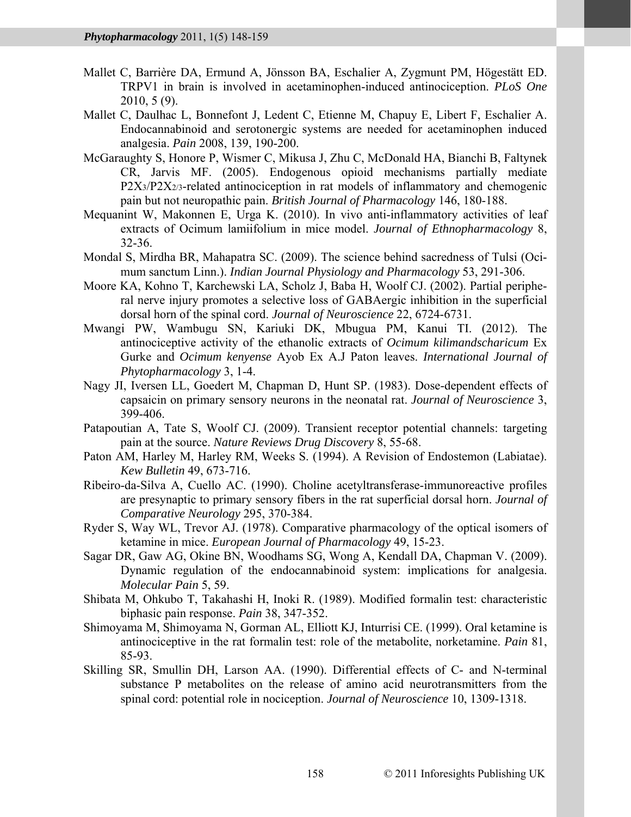- Mallet C, Barrière DA, Ermund A, Jönsson BA, Eschalier A, Zygmunt PM, Högestätt ED. TRPV1 in brain is involved in acetaminophen-induced antinociception. *PLoS One* 2010, 5 (9).
- Mallet C, Daulhac L, Bonnefont J, Ledent C, Etienne M, Chapuy E, Libert F, Eschalier A. Endocannabinoid and serotonergic systems are needed for acetaminophen induced analgesia. *Pain* 2008, 139, 190-200.
- McGaraughty S, Honore P, Wismer C, Mikusa J, Zhu C, McDonald HA, Bianchi B, Faltynek CR, Jarvis MF. (2005). Endogenous opioid mechanisms partially mediate P2X3/P2X2/3-related antinociception in rat models of inflammatory and chemogenic pain but not neuropathic pain. *British Journal of Pharmacology* 146, 180-188.
- Mequanint W, Makonnen E, Urga K. (2010). In vivo anti-inflammatory activities of leaf extracts of Ocimum lamiifolium in mice model. *Journal of Ethnopharmacology* 8, 32-36.
- Mondal S, Mirdha BR, Mahapatra SC. (2009). The science behind sacredness of Tulsi (Ocimum sanctum Linn.). *Indian Journal Physiology and Pharmacology* 53, 291-306.
- Moore KA, Kohno T, Karchewski LA, Scholz J, Baba H, Woolf CJ. (2002). Partial peripheral nerve injury promotes a selective loss of GABAergic inhibition in the superficial dorsal horn of the spinal cord. *Journal of Neuroscience* 22, 6724-6731.
- Mwangi PW, Wambugu SN, Kariuki DK, Mbugua PM, Kanui TI. (2012). The antinociceptive activity of the ethanolic extracts of *Ocimum kilimandscharicum* Ex Gurke and *Ocimum kenyense* Ayob Ex A.J Paton leaves. *International Journal of Phytopharmacology* 3, 1-4.
- Nagy JI, Iversen LL, Goedert M, Chapman D, Hunt SP. (1983). Dose-dependent effects of capsaicin on primary sensory neurons in the neonatal rat. *Journal of Neuroscience* 3, 399-406.
- Patapoutian A, Tate S, Woolf CJ. (2009). Transient receptor potential channels: targeting pain at the source. *Nature Reviews Drug Discovery* 8, 55-68.
- Paton AM, Harley M, Harley RM, Weeks S. (1994). A Revision of Endostemon (Labiatae). *Kew Bulletin* 49, 673-716.
- Ribeiro-da-Silva A, Cuello AC. (1990). Choline acetyltransferase-immunoreactive profiles are presynaptic to primary sensory fibers in the rat superficial dorsal horn. *Journal of Comparative Neurology* 295, 370-384.
- Ryder S, Way WL, Trevor AJ. (1978). Comparative pharmacology of the optical isomers of ketamine in mice. *European Journal of Pharmacology* 49, 15-23.
- Sagar DR, Gaw AG, Okine BN, Woodhams SG, Wong A, Kendall DA, Chapman V. (2009). Dynamic regulation of the endocannabinoid system: implications for analgesia. *Molecular Pain* 5, 59.
- Shibata M, Ohkubo T, Takahashi H, Inoki R. (1989). Modified formalin test: characteristic biphasic pain response. *Pain* 38, 347-352.
- Shimoyama M, Shimoyama N, Gorman AL, Elliott KJ, Inturrisi CE. (1999). Oral ketamine is antinociceptive in the rat formalin test: role of the metabolite, norketamine. *Pain* 81, 85-93.
- Skilling SR, Smullin DH, Larson AA. (1990). Differential effects of C- and N-terminal substance P metabolites on the release of amino acid neurotransmitters from the spinal cord: potential role in nociception. *Journal of Neuroscience* 10, 1309-1318.